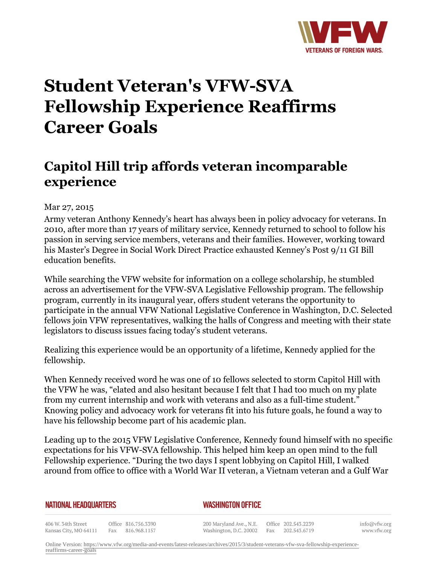

## **Student Veteran's VFW-SVA Fellowship Experience Reaffirms Career Goals**

## **Capitol Hill trip affords veteran incomparable experience**

Mar 27, 2015

Army veteran Anthony Kennedy's heart has always been in policy advocacy for veterans. In 2010, after more than 17 years of military service, Kennedy returned to school to follow his passion in serving service members, veterans and their families. However, working toward his Master's Degree in Social Work Direct Practice exhausted Kenney's Post 9/11 GI Bill education benefits.

While searching the VFW website for information on a college scholarship, he stumbled across an advertisement for the VFW-SVA Legislative Fellowship program. The fellowship program, currently in its inaugural year, offers student veterans the opportunity to participate in the annual VFW National Legislative Conference in Washington, D.C. Selected fellows join VFW representatives, walking the halls of Congress and meeting with their state legislators to discuss issues facing today's student veterans.

Realizing this experience would be an opportunity of a lifetime, Kennedy applied for the fellowship.

When Kennedy received word he was one of 10 fellows selected to storm Capitol Hill with the VFW he was, "elated and also hesitant because I felt that I had too much on my plate from my current internship and work with veterans and also as a full-time student." Knowing policy and advocacy work for veterans fit into his future goals, he found a way to have his fellowship become part of his academic plan.

Leading up to the 2015 VFW Legislative Conference, Kennedy found himself with no specific expectations for his VFW-SVA fellowship. This helped him keep an open mind to the full Fellowship experience. "During the two days I spent lobbying on Capitol Hill, I walked around from office to office with a World War II veteran, a Vietnam veteran and a Gulf War

## **NATIONAL HEADQUARTERS**

*WASHINGTON OFFICE* 

406 W. 34th Street Office 816.756.3390 Fax 816.968.1157 Kansas City, MO 64111

200 Maryland Ave., N.E. Washington, D.C. 20002

Office 202.543.2239 Fax 202.543.6719 info@vfw.org www.vfw.org

Online Version: [https://www.vfw.org/media-and-events/latest-releases/archives/2015/3/student-veterans-vfw-sva-fellowship-experience](https://www.vfw.org/media-and-events/latest-releases/archives/2015/3/student-veterans-vfw-sva-fellowship-experience-reaffirms-career-goals)[reaffirms-career-goals](https://www.vfw.org/media-and-events/latest-releases/archives/2015/3/student-veterans-vfw-sva-fellowship-experience-reaffirms-career-goals)